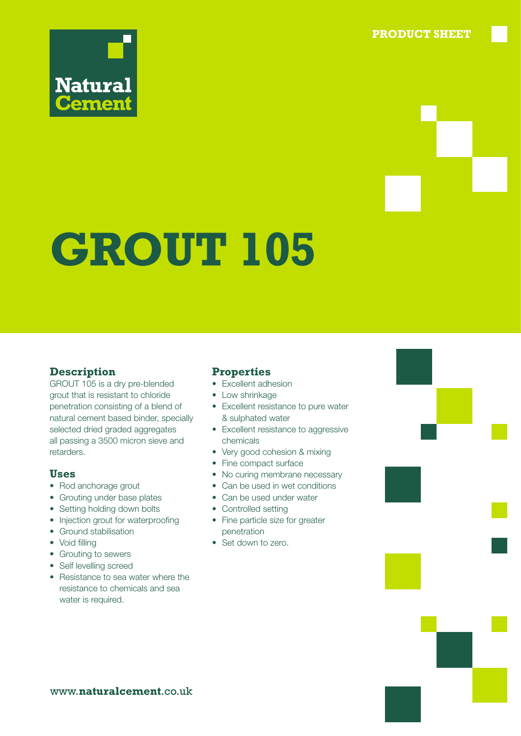**PRODUCT SHEET**



# **GROUT 105**

#### **Description**

GROUT 105 is a dry pre-blended grout that is resistant to chloride penetration consisting of a blend of natural cement based binder, specially selected dried graded aggregates all passing a 3500 micron sieve and retarders.

#### **Uses**

- Rod anchorage grout
- Grouting under base plates
- Setting holding down bolts
- Injection grout for waterproofing
- Ground stabilisation
- Void filling
- Grouting to sewers
- Self levelling screed
- Resistance to sea water where the resistance to chemicals and sea water is required.

#### **Properties**

- Excellent adhesion
- Low shrinkage
- Excellent resistance to pure water & sulphated water
- Excellent resistance to aggressive chemicals
- Very good cohesion & mixing
- Fine compact surface
- No curing membrane necessary
- Can be used in wet conditions
- Can be used under water
- Controlled setting
- Fine particle size for greater penetration
- Set down to zero.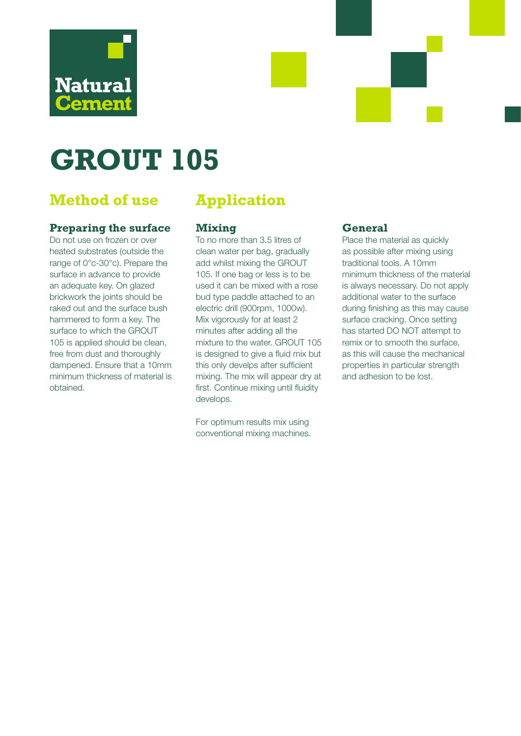

# **GROUT 105**

## **Method of use Application**

#### **Preparing the surface**

Do not use on frozen or over heated substrates (outside the range of 0°c-30°c). Prepare the surface in advance to provide an adequate key. On glazed brickwork the joints should be raked out and the surface bush hammered to form a key. The surface to which the GROUT 105 is applied should be clean, free from dust and thoroughly dampened. Ensure that a 10mm minimum thickness of material is obtained.

#### **Mixing**

To no more than 3.5 litres of clean water per bag, gradually add whilst mixing the GROUT 105. If one bag or less is to be used it can be mixed with a rose bud type paddle attached to an electric drill (900rpm, 1000w). Mix vigorously for at least 2 minutes after adding all the mixture to the water. GROUT 105 is designed to give a fluid mix but this only develps after sufficient mixing. The mix will appear dry at first. Continue mixing until fluidity develops.

For optimum results mix using conventional mixing machines.

#### **General**

Place the material as quickly as possible after mixing using traditional tools. A 10mm minimum thickness of the material is always necessary. Do not apply additional water to the surface during finishing as this may cause surface cracking. Once setting has started DO NOT attempt to remix or to smooth the surface, as this will cause the mechanical properties in particular strength and adhesion to be lost.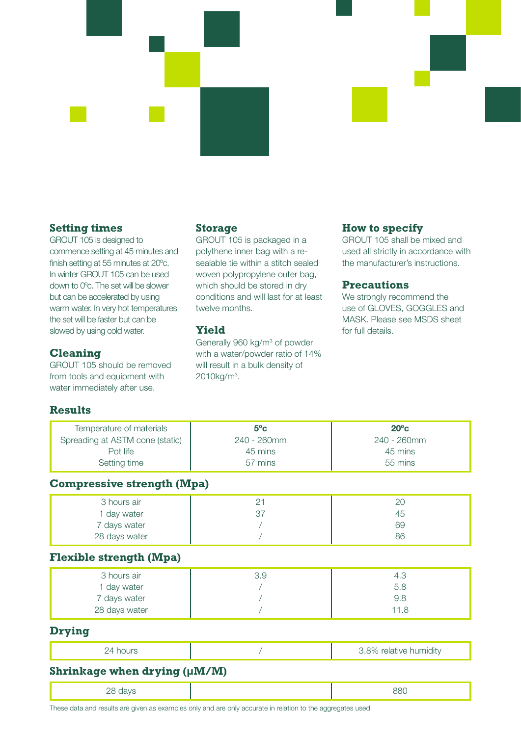

#### **Setting times**

GROUT 105 is designed to commence setting at 45 minutes and finish setting at 55 minutes at 20ºc. In winter GROUT 105 can be used down to 0ºc. The set will be slower but can be accelerated by using warm water. In very hot temperatures the set will be faster but can be slowed by using cold water.

#### **Cleaning**

GROUT 105 should be removed from tools and equipment with water immediately after use.

#### **Storage**

GROUT 105 is packaged in a polythene inner bag with a resealable tie within a stitch sealed woven polypropylene outer bag, which should be stored in dry conditions and will last for at least twelve months.

#### **Yield**

Generally 960 kg/m<sup>3</sup> of powder with a water/powder ratio of 14% will result in a bulk density of 2010kg/m3 .

### **How to specify**

GROUT 105 shall be mixed and used all strictly in accordance with the manufacturer's instructions.

#### **Precautions**

We strongly recommend the use of GLOVES, GOGGLES and MASK. Please see MSDS sheet for full details.

#### **Results**

| Temperature of materials<br>Spreading at ASTM cone (static)<br>Pot life<br>Setting time | $5^{\circ}$ c<br>240 - 260mm<br>45 mins<br>57 mins | $20^{\circ}$ c<br>240 - 260mm<br>45 mins<br>55 mins |
|-----------------------------------------------------------------------------------------|----------------------------------------------------|-----------------------------------------------------|
| <b>Compressive strength (Mpa)</b>                                                       |                                                    |                                                     |
| 3 hours air<br>1 day water<br>7 days water<br>28 days water                             | 21<br>37                                           | 20<br>45<br>69<br>86                                |
| <b>Flexible strength (Mpa)</b>                                                          |                                                    |                                                     |
| 3 hours air<br>1 day water<br>7 days water<br>28 days water                             | 3.9                                                | 4.3<br>5.8<br>9.8<br>11.8                           |
| <b>Drying</b>                                                                           |                                                    |                                                     |
| 24 hours                                                                                |                                                    | 3.8% relative humidity                              |
| Shrinkage when drying (µM/M)                                                            |                                                    |                                                     |
| 28 days                                                                                 |                                                    | 880                                                 |

These data and results are given as examples only and are only accurate in relation to the aggregates used